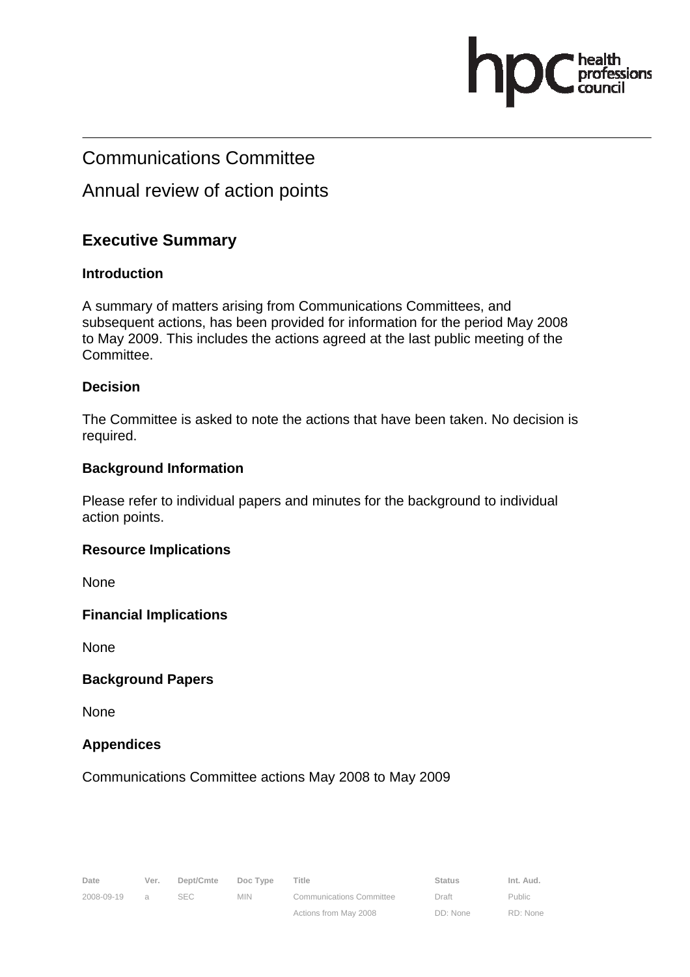## Communications Committee

## Annual review of action points

### **Executive Summary**

#### **Introduction**

A summary of matters arising from Communications Committees, and subsequent actions, has been provided for information for the period May 2008 to May 2009. This includes the actions agreed at the last public meeting of the Committee.

#### **Decision**

The Committee is asked to note the actions that have been taken. No decision is required.

#### **Background Information**

Please refer to individual papers and minutes for the background to individual action points.

#### **Resource Implications**

None

#### **Financial Implications**

None

#### **Background Papers**

None

### **Appendices**

Communications Committee actions May 2008 to May 2009

Actions from May 2008

Public RD: None essions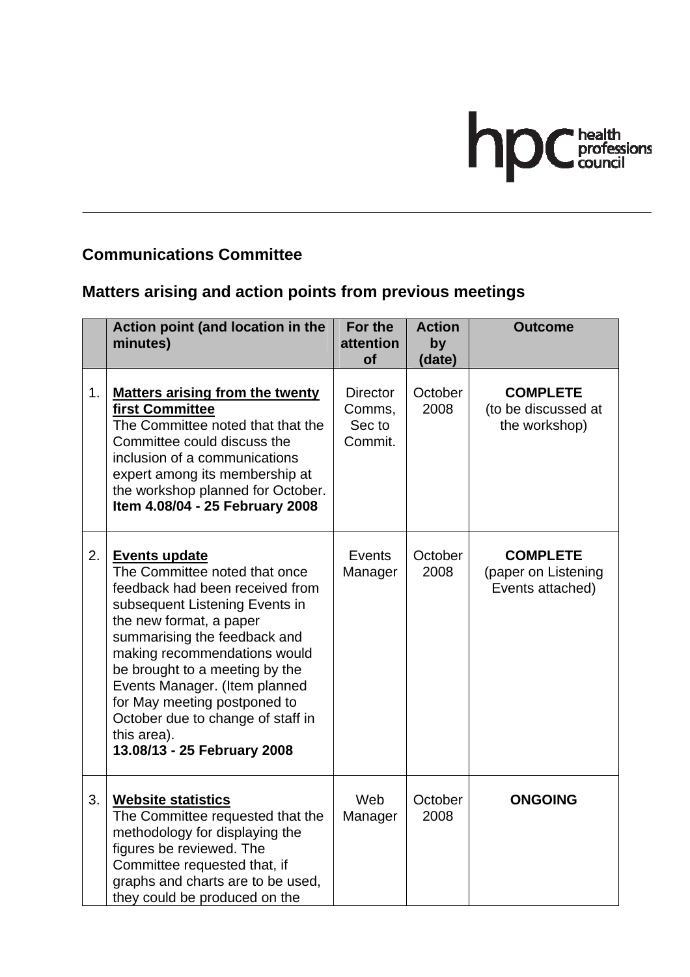

# **Communications Committee**

# **Matters arising and action points from previous meetings**

|    | Action point (and location in the<br>minutes)                                                                                                                                                                                                                                                                                                                                                               | For the<br>attention<br><b>of</b>              | <b>Action</b><br>by<br>(date) | <b>Outcome</b>                                             |
|----|-------------------------------------------------------------------------------------------------------------------------------------------------------------------------------------------------------------------------------------------------------------------------------------------------------------------------------------------------------------------------------------------------------------|------------------------------------------------|-------------------------------|------------------------------------------------------------|
| 1. | <b>Matters arising from the twenty</b><br>first Committee<br>The Committee noted that that the<br>Committee could discuss the<br>inclusion of a communications<br>expert among its membership at<br>the workshop planned for October.<br>Item 4.08/04 - 25 February 2008                                                                                                                                    | <b>Director</b><br>Comms,<br>Sec to<br>Commit. | October<br>2008               | <b>COMPLETE</b><br>(to be discussed at<br>the workshop)    |
| 2. | <b>Events update</b><br>The Committee noted that once<br>feedback had been received from<br>subsequent Listening Events in<br>the new format, a paper<br>summarising the feedback and<br>making recommendations would<br>be brought to a meeting by the<br>Events Manager. (Item planned<br>for May meeting postponed to<br>October due to change of staff in<br>this area).<br>13.08/13 - 25 February 2008 | Events<br>Manager                              | October<br>2008               | <b>COMPLETE</b><br>(paper on Listening<br>Events attached) |
| 3. | <b>Website statistics</b><br>The Committee requested that the<br>methodology for displaying the<br>figures be reviewed. The<br>Committee requested that, if<br>graphs and charts are to be used,<br>they could be produced on the                                                                                                                                                                           | Web<br>Manager                                 | October<br>2008               | <b>ONGOING</b>                                             |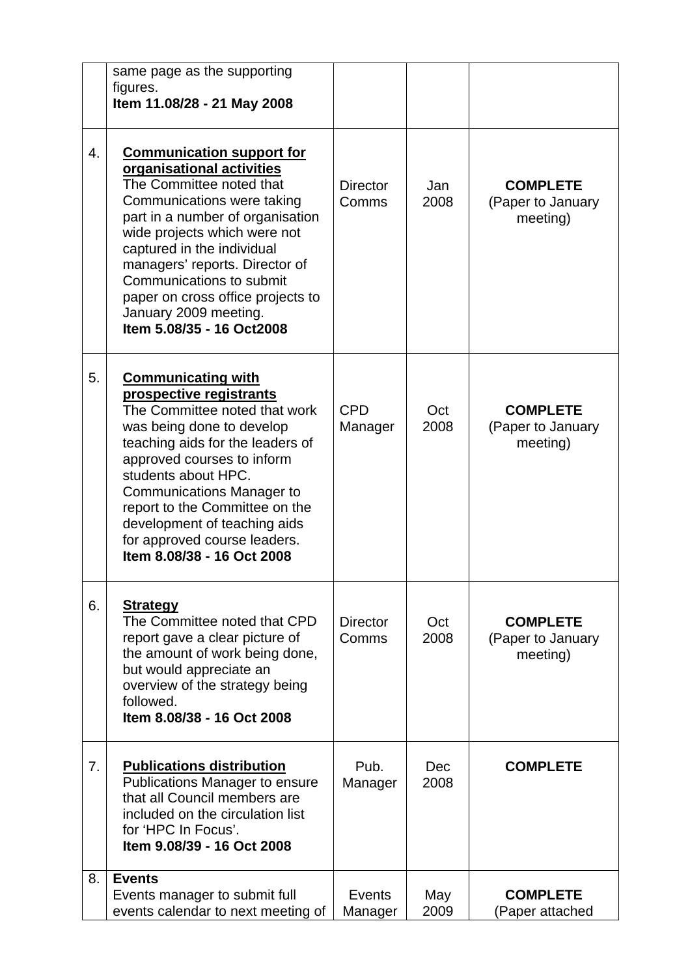|    | same page as the supporting<br>figures.                                                                                                                                                                                                                                                                                                                                            |                          |             |                                                  |
|----|------------------------------------------------------------------------------------------------------------------------------------------------------------------------------------------------------------------------------------------------------------------------------------------------------------------------------------------------------------------------------------|--------------------------|-------------|--------------------------------------------------|
|    | Item 11.08/28 - 21 May 2008                                                                                                                                                                                                                                                                                                                                                        |                          |             |                                                  |
| 4. | <b>Communication support for</b><br>organisational activities<br>The Committee noted that<br>Communications were taking<br>part in a number of organisation<br>wide projects which were not<br>captured in the individual<br>managers' reports. Director of<br>Communications to submit<br>paper on cross office projects to<br>January 2009 meeting.<br>Item 5.08/35 - 16 Oct2008 | <b>Director</b><br>Comms | Jan<br>2008 | <b>COMPLETE</b><br>(Paper to January<br>meeting) |
| 5. | <b>Communicating with</b><br>prospective registrants<br>The Committee noted that work<br>was being done to develop<br>teaching aids for the leaders of<br>approved courses to inform<br>students about HPC.<br><b>Communications Manager to</b><br>report to the Committee on the<br>development of teaching aids<br>for approved course leaders.<br>Item 8.08/38 - 16 Oct 2008    | <b>CPD</b><br>Manager    | Oct<br>2008 | <b>COMPLETE</b><br>(Paper to January<br>meeting) |
| 6. | <b>Strategy</b><br>The Committee noted that CPD<br>report gave a clear picture of<br>the amount of work being done,<br>but would appreciate an<br>overview of the strategy being<br>followed.<br>Item 8.08/38 - 16 Oct 2008                                                                                                                                                        | <b>Director</b><br>Comms | Oct<br>2008 | <b>COMPLETE</b><br>(Paper to January<br>meeting) |
| 7. | <b>Publications distribution</b><br><b>Publications Manager to ensure</b><br>that all Council members are<br>included on the circulation list<br>for 'HPC In Focus'.<br>Item 9.08/39 - 16 Oct 2008                                                                                                                                                                                 | Pub.<br>Manager          | Dec<br>2008 | <b>COMPLETE</b>                                  |
| 8. | <b>Events</b><br>Events manager to submit full<br>events calendar to next meeting of                                                                                                                                                                                                                                                                                               | Events<br>Manager        | May<br>2009 | <b>COMPLETE</b><br>(Paper attached               |